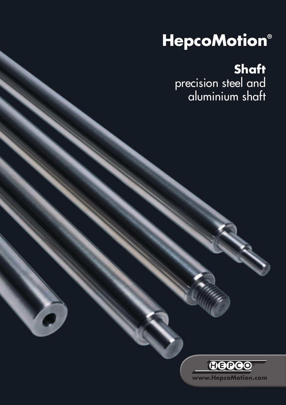# **HepcoMotion®**

**Shaft** precision steel and aluminium shaft



S.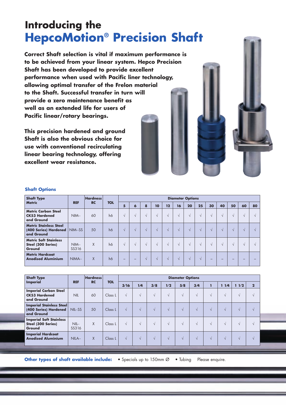### **Introducing the HepcoMotion® Precision Shaft**

**Correct Shaft selection is vital if maximum performance is to be achieved from your linear system. Hepco Precision Shaft has been developed to provide excellent performance when used with Pacific liner technology, allowing optimal transfer of the Frelon material to the Shaft. Successful transfer in turn will provide a zero maintenance benefit as well as an extended life for users of Pacific linear/rotary bearings.**

**This precision hardened and ground Shaft is also the obvious choice for use with conventional recirculating linear bearing technology, offering excellent wear resistance.**

| <b>Shaft Type</b>                                                    |                 | <b>Hardness</b> |            |                   |            |            |            |               | <b>Diameter Options</b> |            |            |                          |    |            |    |    |
|----------------------------------------------------------------------|-----------------|-----------------|------------|-------------------|------------|------------|------------|---------------|-------------------------|------------|------------|--------------------------|----|------------|----|----|
| <b>Metric</b>                                                        | <b>REF</b>      | <b>RC</b>       | <b>TOL</b> | 5                 | 6          | 8          | 10         | 12            | 16                      | 20         | 25         | 30                       | 40 | 50         | 60 | 80 |
| <b>Metric Carbon Steel</b><br><b>CK53 Hardened</b><br>and Ground     | $NIM-$          | 60              | h6         | $\sqrt{ }$        | $\sqrt{ }$ | $\sqrt{ }$ | $\sqrt{ }$ | $\mathcal{N}$ | $\sqrt{ }$              | $\sqrt{ }$ | $\sqrt{ }$ | $\sqrt{ }$               |    | $\sqrt{ }$ |    |    |
| <b>Metric Stainless Steel</b><br>(400 Series) Hardened<br>and Ground | NIM--SS         | 50              | h6         | $\sqrt{ }$        | $\sqrt{ }$ | $\sqrt{ }$ | $\sqrt{ }$ | $\mathcal{N}$ | $\sqrt{ }$              | $\sqrt{ }$ | $\sqrt{ }$ | $\sqrt{ }$               |    | $\sqrt{ }$ |    |    |
| <b>Metric Soft Stainless</b><br>Steel (300 Series)<br>Ground         | $NIM-$<br>SS316 | X               | h6         | $\sqrt{ }$        | $\sqrt{ }$ | $\sqrt{ }$ | $\sqrt{ }$ | $\sqrt{ }$    | $\sqrt{ }$              | $\sqrt{ }$ | $\sqrt{ }$ | $\sqrt{ }$               |    | V          |    |    |
| <b>Metric Hardcoat</b><br><b>Anodised Aluminium</b>                  | NIMA--          | X               | h6         | $\qquad \qquad -$ | -          | $\sqrt{ }$ | $\sqrt{ }$ | $\sqrt{ }$    | $\sqrt{ }$              | $\sqrt{ }$ | $\sqrt{ }$ | $\overline{\phantom{0}}$ | -  | -          |    |    |

#### **Shaft Options**

| <b>Shaft Type</b>                                                      | <b>Hardness</b> |           |            | <b>Diameter Options</b> |            |            |            |            |            |            |            |            |                |  |
|------------------------------------------------------------------------|-----------------|-----------|------------|-------------------------|------------|------------|------------|------------|------------|------------|------------|------------|----------------|--|
| <b>Imperial</b>                                                        | <b>REF</b>      | <b>RC</b> | <b>TOL</b> | 3/16                    | 1/4        | 3/8        | 1/2        | 5/8        | 3/4        |            | 1/4<br>т   | 11/2       | $\overline{2}$ |  |
| <b>Imperial Carbon Steel</b><br><b>CK53 Hardened</b><br>and Ground     | <b>NIL</b>      | 60        | Class L    | $\sqrt{ }$              | $\sqrt{ }$ | $\sqrt{ }$ | $\sqrt{ }$ | $\sqrt{ }$ | $\sqrt{ }$ | $\sqrt{ }$ | $\sqrt{ }$ | $\sqrt{ }$ |                |  |
| <b>Imperial Stainless Steel</b><br>(400 Series) Hardened<br>and Ground | NIL-SS          | 50        | Class L    | $\sqrt{ }$              | $\sqrt{ }$ | $\sqrt{ }$ | $\sqrt{ }$ | $\sqrt{ }$ | $\sqrt{ }$ | $\sqrt{ }$ | $\sqrt{ }$ | V          |                |  |
| <b>Imperial Soft Stainless</b><br>Steel (300 Series)<br>Ground         | $NIL-$<br>SS316 | X         | Class L    | $\sqrt{ }$              | $\sqrt{ }$ | $\sqrt{ }$ | $\sim$     | $\sqrt{ }$ | $\sqrt{ }$ | V          | $\sqrt{ }$ | $\sqrt{ }$ |                |  |
| <b>Imperial Hardcoat</b><br><b>Anodised Aluminium</b>                  | NILA--          | X         | Class L    | $\sqrt{ }$              | $\sqrt{ }$ | $\sqrt{ }$ | $\sqrt{ }$ | $\sqrt{ }$ | $\sqrt{ }$ | $\sqrt{ }$ | $\sqrt{ }$ | $\sqrt{ }$ |                |  |

**Other types of shaft available include:** • Specials up to 150mm Ø • Tubing Please enquire.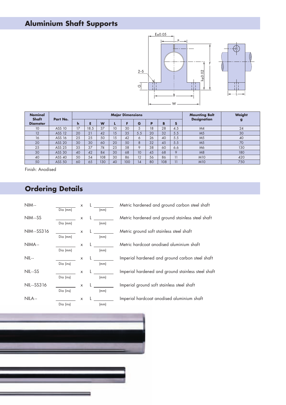#### **Aluminium Shaft Supports**



| <b>Nominal</b><br>Shaft | Part No.      |    |      |     |                 | <b>Major Dimensions</b> |     |    |     |     | <b>Mounting Bolt</b><br><b>Designation</b> | Weight |
|-------------------------|---------------|----|------|-----|-----------------|-------------------------|-----|----|-----|-----|--------------------------------------------|--------|
| <b>Diameter</b>         |               | h  |      | W   |                 |                         | G   | P  | B   | S   |                                            | g      |
| 10                      | ASS 10        | 17 | 18.5 | 37  | 10 <sup>°</sup> | 30                      | 5   | 18 | 28  | 4.5 | M4                                         | 24     |
| 12                      | <b>ASS 12</b> | 20 | 21   | 42  | 15              | 35                      | 5.5 | 20 | 32  | 5.5 | M <sub>5</sub>                             | 30     |
| 16                      | ASS 16        | 25 | 25   | 50  | 15              | 42                      | 6   | 26 | 40  | 5.5 | M <sub>5</sub>                             | 40     |
| 20                      | <b>ASS 20</b> | 30 | 30   | 60  | 20              | 50                      | 8   | 32 | 45  | 5.5 | M <sub>5</sub>                             | 70     |
| 25                      | ASS 25        | 35 | 37   | 74  | 25              | 58                      | 9   | 38 | 60  | 6.6 | M6                                         | 130    |
| 30                      | <b>ASS 30</b> | 40 | 42   | 84  | 30              | 68                      | 10  | 45 | 68  | 9   | M8                                         | 180    |
| 40                      | ASS 40        | 50 | 54   | 108 | 30              | 86                      | 12  | 56 | 86  | 11  | <b>M10</b>                                 | 420    |
| 50                      | <b>ASS 50</b> | 60 | 65   | 130 | 40              | 100                     | 14  | 80 | 108 | 11  | <b>M10</b>                                 | 750    |

Finish: Anodised

### **Ordering Details**

| $NIM -$    |           | x | L |      |
|------------|-----------|---|---|------|
|            | Dia (mm)  |   |   | (mm) |
| NIM--SS    |           | X |   |      |
|            | Dia (mm)  |   |   | (mm) |
| NIM--SS316 |           | x | L |      |
|            | Dia (mm)  |   |   | (mm) |
| NIMA--     |           | x | L |      |
|            | Dia (mm)  |   |   | (mm) |
| $NIL -$    |           | X | L |      |
|            | Dia (ins) |   |   | (mm) |
| NIL--SS    |           | X |   |      |
|            | Dia (ins) |   |   | (mm) |
| NIL--SS316 |           | X | L |      |
|            | Dia (ins) |   |   | (mm) |
| NILA --    |           | x |   |      |
|            | Dia (ins) |   |   | (mm) |

Metric hardened and ground carbon steel shaft Metric hardened and ground stainless steel shaft Metric ground soft stainless steel shaft Metric hardcoat anodised aluminium shaft Imperial hardened and ground carbon steel shaft Imperial hardened and ground stainless steel shaft Imperial ground soft stainless steel shaft Imperial hardcoat anodised aluminium shaft

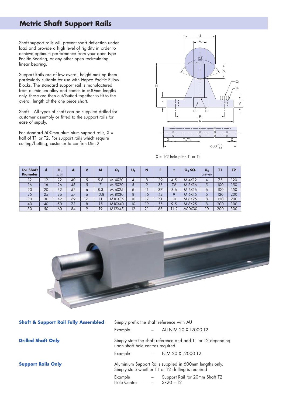#### **Metric Shaft Support Rails**

Shaft support rails will prevent shaft deflection under load and provide a high level of rigidity in order to achieve optimum performance from your open type Pacific Bearing, or any other open recirculating linear bearing.

Support Rails are of low overall height making them particularly suitable for use with Hepco Pacific Pillow Blocks. The standard support rail is manufactured from aluminium alloy and comes in 600mm lengths only, these are then cut/butted together to fit to the overall length of the one piece shaft.

Shaft – All types of shaft can be supplied drilled for customer assembly or fitted to the support rails for ease of supply.

For standard 600mm aluminium support rails,  $X =$ half of T1 or T2. For support rails which require cutting/butting, customer to confirm Dim X



 $X = 1/2$  hole pitch  $T_1$  or  $T_2$ 

| <b>For Shaft</b><br><b>Diameter</b> | <b>C</b> | н,<br>±0.01 | A  | v        | M    | O <sub>1</sub> | U, | N          |    |      | $O2$ SQ. | $\mathsf{U}_{2}$<br><b>DIN7980</b> | זז  | <b>T2</b> |
|-------------------------------------|----------|-------------|----|----------|------|----------------|----|------------|----|------|----------|------------------------------------|-----|-----------|
| 12                                  | 12       | 22          | 40 |          | 5.8  | M 4X20         | 4  | 8          | 29 | 4.5  | M 4X12   | 4                                  | 75  | 120       |
| 16                                  | 16       | 26          | 45 |          |      | M 5X20         | 5  | O          | 33 | 7.6  | M 5X16   | ت                                  | 100 | 150       |
| 20                                  | 20       | 32          | 52 | $\circ$  | 8.3  | M 6X25         | 6  |            | 37 | 8.6  | M 6X16   | Ô                                  | 100 | 150       |
| 25                                  | 25       | 36          | 57 | $\circ$  | 10.8 | M 8X30         | 8  | 15         | 42 | 9    | M 6X16   | Ô                                  | 120 | 200       |
| 30                                  | 30       | 42          | 69 |          |      | M10X35         | 10 | 17         | 51 | 10   | M 8X25   | 8                                  | 150 | 200       |
| 40                                  | 40       | 50          | 73 | 8        | 15   | M10X40         | 10 | 19         | 55 | 9.5  | M 8X25   | 8                                  | 200 | 300       |
| 50                                  | 50       | 60          | 84 | $\Omega$ | 19   | M12X45         | 12 | $\Omega$ 1 | 63 | 11.2 | M10X30   | 10                                 | 200 | 300       |



| <b>Shaft &amp; Support Rail Fully Assembled</b> | Simply prefix the shaft reference with AU<br>Example |                          | AU NIM 20 X L2000 T2                                                                                          |
|-------------------------------------------------|------------------------------------------------------|--------------------------|---------------------------------------------------------------------------------------------------------------|
| <b>Drilled Shaft Only</b>                       | upon shaft hole centres required                     |                          | Simply state the shaft reference and add T1 or T2 depending                                                   |
|                                                 | Example                                              | $\sim$                   | NIM 20 X L2000 T2                                                                                             |
| <b>Support Rails Only</b>                       |                                                      |                          | Aluminium Support Rails supplied in 600mm lengths only.<br>Simply state whether T1 or T2 drilling is required |
|                                                 | Example<br>Hole Centre                               | $\overline{\phantom{m}}$ | Support Rail for 20mm Shaft T2<br>$SR20 - T2$                                                                 |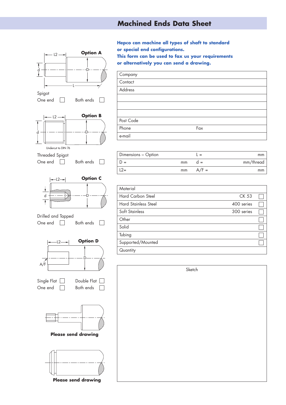#### **Machined Ends Data Sheet**



**Hepco can machine all types of shaft to standard or special end configurations. This form can be used to fax us your requirements or alternatively you can send a drawing.**

| Company                     |     |
|-----------------------------|-----|
| $\overline{\text{Contact}}$ |     |
| Address                     |     |
|                             |     |
|                             |     |
|                             |     |
| Post Code                   |     |
| Phone                       | Fax |
| e-mail                      |     |

| Dimensions - Option |            | $=$          | mm        |
|---------------------|------------|--------------|-----------|
|                     | $mm$ $d =$ |              | mm/thread |
| $L2 =$              |            | $mm$ $A/F =$ | mm        |

| Material                    |            |  |
|-----------------------------|------------|--|
| Hard Carbon Steel           | CK 53      |  |
| <b>Hard Stainless Steel</b> | 400 series |  |
| Soft Stainless              | 300 series |  |
| Other                       |            |  |
| Solid                       |            |  |
| Tubing                      |            |  |
| Supported/Mounted           |            |  |
| Quantity                    |            |  |

| Sketch |
|--------|
|        |
|        |
|        |
|        |
|        |
|        |
|        |
|        |
|        |